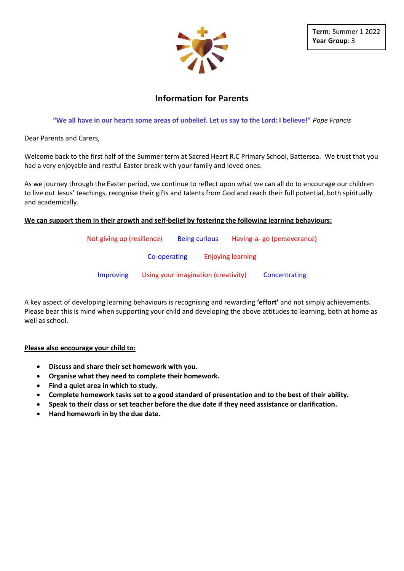

# **Information for Parents**

**"We all have in our hearts some areas of unbelief. Let us say to the Lord: I believe!"** *Pope Francis* 

Dear Parents and Carers,

Welcome back to the first half of the Summer term at Sacred Heart R.C Primary School, Battersea. We trust that you had a very enjoyable and restful Easter break with your family and loved ones.

As we journey through the Easter period, we continue to reflect upon what we can all do to encourage our children to live out Jesus' teachings, recognise their gifts and talents from God and reach their full potential, both spiritually and academically.

#### **We can support them in their growth and self-belief by fostering the following learning behaviours:**

| Not giving up (resilience) |                                     | <b>Being curious</b> |                          | Having-a-go (perseverance) |  |
|----------------------------|-------------------------------------|----------------------|--------------------------|----------------------------|--|
|                            | Co-operating                        |                      | <b>Enjoying learning</b> |                            |  |
| <b>Improving</b>           | Using your imagination (creativity) |                      |                          | Concentrating              |  |

A key aspect of developing learning behaviours is recognising and rewarding **'effort'** and not simply achievements. Please bear this is mind when supporting your child and developing the above attitudes to learning, both at home as well as school.

#### **Please also encourage your child to:**

- **Discuss and share their set homework with you.**
- **Organise what they need to complete their homework.**
- **Find a quiet area in which to study.**
- **Complete homework tasks set to a good standard of presentation and to the best of their ability.**
- **Speak to their class or set teacher before the due date if they need assistance or clarification.**
- **Hand homework in by the due date.**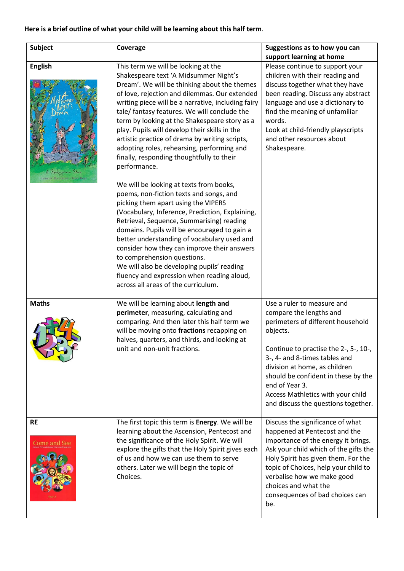## **Here is a brief outline of what your child will be learning about this half term**.

| <b>Subject</b>                                                            | Coverage                                                                                                                                                                                                                                                                                                                                                                                                                                                                                                                                                                                                                                                                                                                                                                                                                                                                                                                                                                                                                                                                                        | Suggestions as to how you can<br>support learning at home                                                                                                                                                                                                                                                                                              |
|---------------------------------------------------------------------------|-------------------------------------------------------------------------------------------------------------------------------------------------------------------------------------------------------------------------------------------------------------------------------------------------------------------------------------------------------------------------------------------------------------------------------------------------------------------------------------------------------------------------------------------------------------------------------------------------------------------------------------------------------------------------------------------------------------------------------------------------------------------------------------------------------------------------------------------------------------------------------------------------------------------------------------------------------------------------------------------------------------------------------------------------------------------------------------------------|--------------------------------------------------------------------------------------------------------------------------------------------------------------------------------------------------------------------------------------------------------------------------------------------------------------------------------------------------------|
| <b>English</b><br>Shakespeare Story<br><b>ANDREW MATTREWS . TONY ROSS</b> | This term we will be looking at the<br>Shakespeare text 'A Midsummer Night's<br>Dream'. We will be thinking about the themes<br>of love, rejection and dilemmas. Our extended<br>writing piece will be a narrative, including fairy<br>tale/ fantasy features. We will conclude the<br>term by looking at the Shakespeare story as a<br>play. Pupils will develop their skills in the<br>artistic practice of drama by writing scripts,<br>adopting roles, rehearsing, performing and<br>finally, responding thoughtfully to their<br>performance.<br>We will be looking at texts from books,<br>poems, non-fiction texts and songs, and<br>picking them apart using the VIPERS<br>(Vocabulary, Inference, Prediction, Explaining,<br>Retrieval, Sequence, Summarising) reading<br>domains. Pupils will be encouraged to gain a<br>better understanding of vocabulary used and<br>consider how they can improve their answers<br>to comprehension questions.<br>We will also be developing pupils' reading<br>fluency and expression when reading aloud,<br>across all areas of the curriculum. | Please continue to support your<br>children with their reading and<br>discuss together what they have<br>been reading. Discuss any abstract<br>language and use a dictionary to<br>find the meaning of unfamiliar<br>words.<br>Look at child-friendly playscripts<br>and other resources about<br>Shakespeare.                                         |
| <b>Maths</b>                                                              | We will be learning about length and<br>perimeter, measuring, calculating and<br>comparing. And then later this half term we<br>will be moving onto fractions recapping on<br>halves, quarters, and thirds, and looking at<br>unit and non-unit fractions.                                                                                                                                                                                                                                                                                                                                                                                                                                                                                                                                                                                                                                                                                                                                                                                                                                      | Use a ruler to measure and<br>compare the lengths and<br>perimeters of different household<br>objects.<br>Continue to practise the 2-, 5-, 10-,<br>3-, 4- and 8-times tables and<br>division at home, as children<br>should be confident in these by the<br>end of Year 3.<br>Access Mathletics with your child<br>and discuss the questions together. |
| <b>RE</b><br><b>Come and See</b>                                          | The first topic this term is Energy. We will be<br>learning about the Ascension, Pentecost and<br>the significance of the Holy Spirit. We will<br>explore the gifts that the Holy Spirit gives each<br>of us and how we can use them to serve<br>others. Later we will begin the topic of<br>Choices.                                                                                                                                                                                                                                                                                                                                                                                                                                                                                                                                                                                                                                                                                                                                                                                           | Discuss the significance of what<br>happened at Pentecost and the<br>importance of the energy it brings.<br>Ask your child which of the gifts the<br>Holy Spirit has given them. For the<br>topic of Choices, help your child to<br>verbalise how we make good<br>choices and what the<br>consequences of bad choices can<br>be.                       |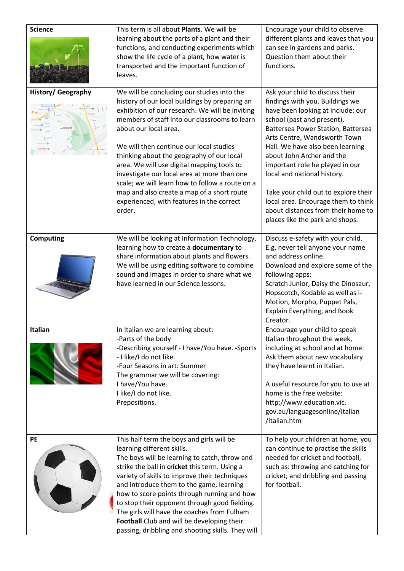| <b>Science</b>            | This term is all about Plants. We will be<br>learning about the parts of a plant and their<br>functions, and conducting experiments which<br>show the life cycle of a plant, how water is<br>transported and the important function of<br>leaves.                                                                                                                                                                                                                                                                                                                      | Encourage your child to observe<br>different plants and leaves that you<br>can see in gardens and parks.<br>Question them about their<br>functions.                                                                                                                                                                                                                                                                                                                                                    |
|---------------------------|------------------------------------------------------------------------------------------------------------------------------------------------------------------------------------------------------------------------------------------------------------------------------------------------------------------------------------------------------------------------------------------------------------------------------------------------------------------------------------------------------------------------------------------------------------------------|--------------------------------------------------------------------------------------------------------------------------------------------------------------------------------------------------------------------------------------------------------------------------------------------------------------------------------------------------------------------------------------------------------------------------------------------------------------------------------------------------------|
| <b>History/ Geography</b> | We will be concluding our studies into the<br>history of our local buildings by preparing an<br>exhibition of our research. We will be inviting<br>members of staff into our classrooms to learn<br>about our local area.<br>We will then continue our local studies<br>thinking about the geography of our local<br>area. We will use digital mapping tools to<br>investigate our local area at more than one<br>scale; we will learn how to follow a route on a<br>map and also create a map of a short route<br>experienced, with features in the correct<br>order. | Ask your child to discuss their<br>findings with you. Buildings we<br>have been looking at include: our<br>school (past and present),<br>Battersea Power Station, Battersea<br>Arts Centre, Wandsworth Town<br>Hall. We have also been learning<br>about John Archer and the<br>important role he played in our<br>local and national history.<br>Take your child out to explore their<br>local area. Encourage them to think<br>about distances from their home to<br>places like the park and shops. |
| <b>Computing</b>          | We will be looking at Information Technology,<br>learning how to create a documentary to<br>share information about plants and flowers.<br>We will be using editing software to combine<br>sound and images in order to share what we<br>have learned in our Science lessons.                                                                                                                                                                                                                                                                                          | Discuss e-safety with your child.<br>E.g. never tell anyone your name<br>and address online.<br>Download and explore some of the<br>following apps:<br>Scratch Junior, Daisy the Dinosaur,<br>Hopscotch, Kodable as well as i-<br>Motion, Morpho, Puppet Pals,<br>Explain Everything, and Book<br>Creator.                                                                                                                                                                                             |
| Italian                   | In Italian we are learning about:<br>-Parts of the body<br>-Describing yourself - I have/You have. -Sports<br>- I like/I do not like.<br>-Four Seasons in art: Summer<br>The grammar we will be covering:<br>I have/You have.<br>I like/I do not like.<br>Prepositions.                                                                                                                                                                                                                                                                                                | Encourage your child to speak<br>Italian throughout the week,<br>including at school and at home.<br>Ask them about new vocabulary<br>they have learnt in Italian.<br>A useful resource for you to use at<br>home is the free website:<br>http://www.education.vic.<br>gov.au/languagesonline/Italian<br>/italian.htm                                                                                                                                                                                  |
| PE                        | This half term the boys and girls will be<br>learning different skills.<br>The boys will be learning to catch, throw and<br>strike the ball in cricket this term. Using a<br>variety of skills to improve their techniques<br>and introduce them to the game, learning<br>how to score points through running and how<br>to stop their opponent through good fielding.<br>The girls will have the coaches from Fulham<br>Football Club and will be developing their<br>passing, dribbling and shooting skills. They will                                               | To help your children at home, you<br>can continue to practise the skills<br>needed for cricket and football,<br>such as: throwing and catching for<br>cricket; and dribbling and passing<br>for football.                                                                                                                                                                                                                                                                                             |